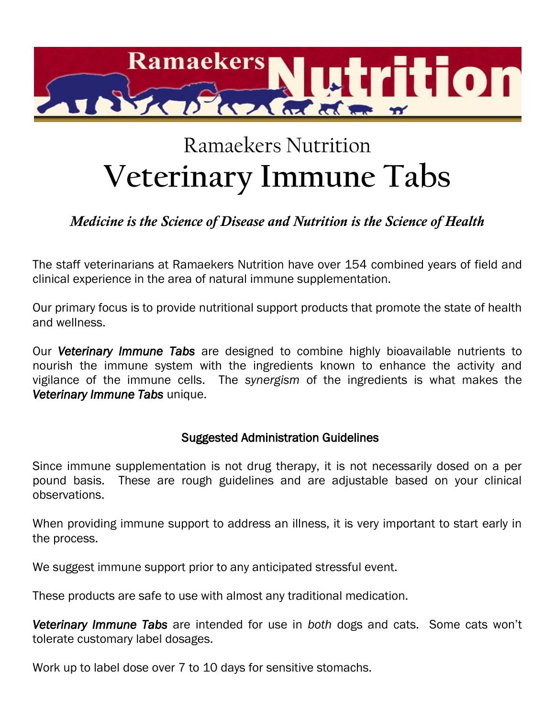

# Ramaekers Nutrition **Veterinary Immune Tabs**

# *Medicine is the Science of Disease and Nutrition is the Science of Health*

The staff veterinarians at Ramaekers Nutrition have over 154 combined years of field and clinical experience in the area of natural immune supplementation.

Our primary focus is to provide nutritional support products that promote the state of health and wellness.

Our *Veterinary Immune Tabs* are designed to combine highly bioavailable nutrients to nourish the immune system with the ingredients known to enhance the activity and vigilance of the immune cells. The *synergism* of the ingredients is what makes the *Veterinary Immune Tabs* unique.

# Suggested Administration Guidelines

Since immune supplementation is not drug therapy, it is not necessarily dosed on a per pound basis. These are rough guidelines and are adjustable based on your clinical observations.

When providing immune support to address an illness, it is very important to start early in the process.

We suggest immune support prior to any anticipated stressful event.

These products are safe to use with almost any traditional medication.

*Veterinary Immune Tabs* are intended for use in *both* dogs and cats. Some cats won't tolerate customary label dosages.

Work up to label dose over 7 to 10 days for sensitive stomachs.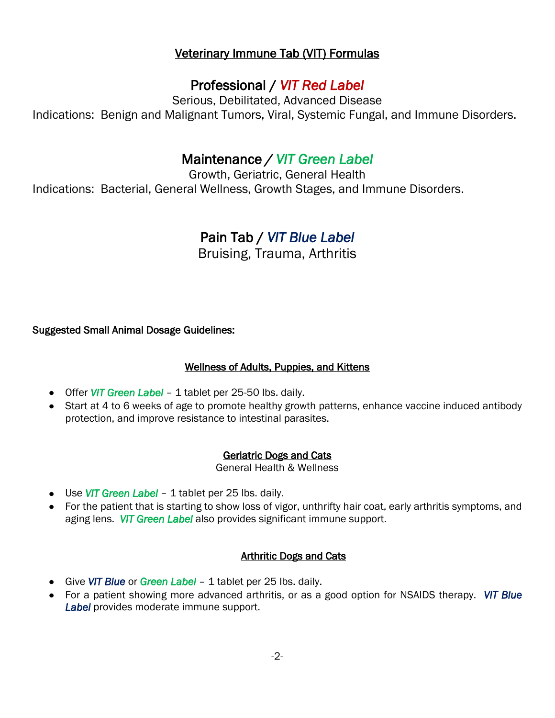# Veterinary Immune Tab (VIT) Formulas

# Professional / *VIT Red Label*

Serious, Debilitated, Advanced Disease Indications: Benign and Malignant Tumors, Viral, Systemic Fungal, and Immune Disorders.

# Maintenance */ VIT Green Label*

Growth, Geriatric, General Health Indications: Bacterial, General Wellness, Growth Stages, and Immune Disorders.

# Pain Tab / *VIT Blue Label*

Bruising, Trauma, Arthritis

Suggested Small Animal Dosage Guidelines:

# Wellness of Adults, Puppies, and Kittens

- Offer *VIT Green Label* 1 tablet per 25-50 lbs. daily.
- Start at 4 to 6 weeks of age to promote healthy growth patterns, enhance vaccine induced antibody protection, and improve resistance to intestinal parasites.

# Geriatric Dogs and Cats

General Health & Wellness

- Use *VIT Green Label*  1 tablet per 25 lbs. daily.
- For the patient that is starting to show loss of vigor, unthrifty hair coat, early arthritis symptoms, and aging lens. *VIT Green Label* also provides significant immune support.

# Arthritic Dogs and Cats

- Give *VIT Blue* or *Green Label* 1 tablet per 25 lbs. daily.
- For a patient showing more advanced arthritis, or as a good option for NSAIDS therapy. *VIT Blue Label* provides moderate immune support.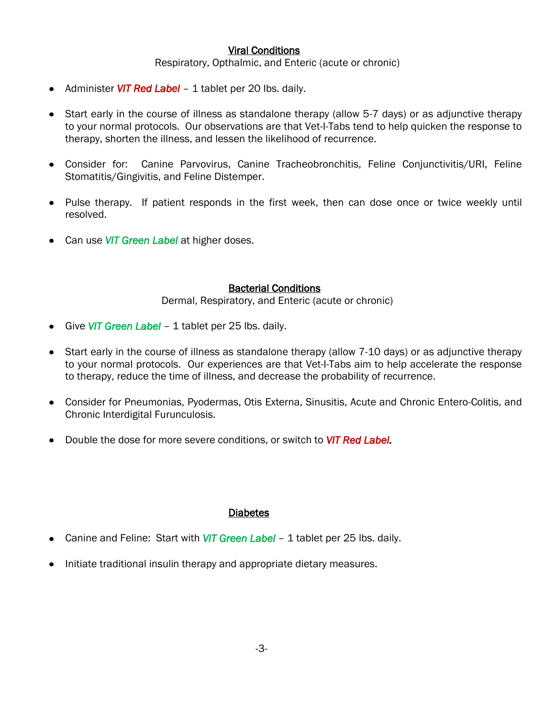## Viral Conditions

Respiratory, Opthalmic, and Enteric (acute or chronic)

- Administer *VIT Red Label*  1 tablet per 20 lbs. daily.
- Start early in the course of illness as standalone therapy (allow 5-7 days) or as adjunctive therapy to your normal protocols. Our observations are that Vet-I-Tabs tend to help quicken the response to therapy, shorten the illness, and lessen the likelihood of recurrence.
- Consider for: Canine Parvovirus, Canine Tracheobronchitis, Feline Conjunctivitis/URI, Feline  $\bullet$ Stomatitis/Gingivitis, and Feline Distemper.
- Pulse therapy. If patient responds in the first week, then can dose once or twice weekly until resolved.
- Can use *VIT Green Label* at higher doses.

#### Bacterial Conditions

Dermal, Respiratory, and Enteric (acute or chronic)

- Give *VIT Green Label*  1 tablet per 25 lbs. daily.
- Start early in the course of illness as standalone therapy (allow 7-10 days) or as adjunctive therapy to your normal protocols. Our experiences are that Vet-I-Tabs aim to help accelerate the response to therapy, reduce the time of illness, and decrease the probability of recurrence.
- Consider for Pneumonias, Pyodermas, Otis Externa, Sinusitis, Acute and Chronic Entero-Colitis, and Chronic Interdigital Furunculosis.
- Double the dose for more severe conditions, or switch to *VIT Red Label.*

## **Diabetes**

- Canine and Feline: Start with *VIT Green Label 1* tablet per 25 lbs. daily.
- Initiate traditional insulin therapy and appropriate dietary measures.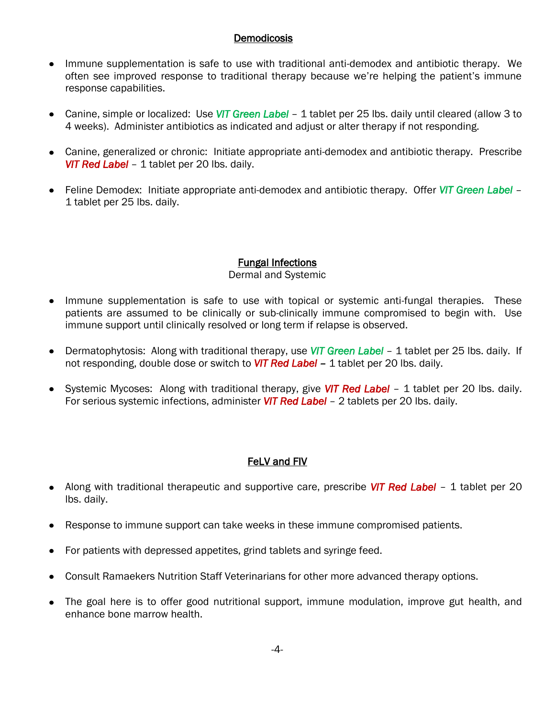## **Demodicosis**

- Immune supplementation is safe to use with traditional anti-demodex and antibiotic therapy. We often see improved response to traditional therapy because we're helping the patient's immune response capabilities.
- Canine, simple or localized: Use *VIT Green Label* 1 tablet per 25 lbs. daily until cleared (allow 3 to 4 weeks). Administer antibiotics as indicated and adjust or alter therapy if not responding.
- Canine, generalized or chronic: Initiate appropriate anti-demodex and antibiotic therapy. Prescribe *VIT Red Label* – 1 tablet per 20 lbs. daily.
- Feline Demodex: Initiate appropriate anti-demodex and antibiotic therapy. Offer *VIT Green Label* 1 tablet per 25 lbs. daily.

# Fungal Infections

## Dermal and Systemic

- Immune supplementation is safe to use with topical or systemic anti-fungal therapies. These patients are assumed to be clinically or sub-clinically immune compromised to begin with. Use immune support until clinically resolved or long term if relapse is observed.
- Dermatophytosis: Along with traditional therapy, use *VIT Green Label*  1 tablet per 25 lbs. daily. If  $\bullet$ not responding, double dose or switch to *VIT Red Label –* 1 tablet per 20 lbs. daily.
- Systemic Mycoses: Along with traditional therapy, give *VIT Red Label*  1 tablet per 20 lbs. daily. For serious systemic infections, administer *VIT Red Label* – 2 tablets per 20 lbs. daily.

# FeLV and FIV

- Along with traditional therapeutic and supportive care, prescribe *VIT Red Label*  1 tablet per 20 lbs. daily.
- Response to immune support can take weeks in these immune compromised patients.
- For patients with depressed appetites, grind tablets and syringe feed.
- Consult Ramaekers Nutrition Staff Veterinarians for other more advanced therapy options.
- The goal here is to offer good nutritional support, immune modulation, improve gut health, and enhance bone marrow health.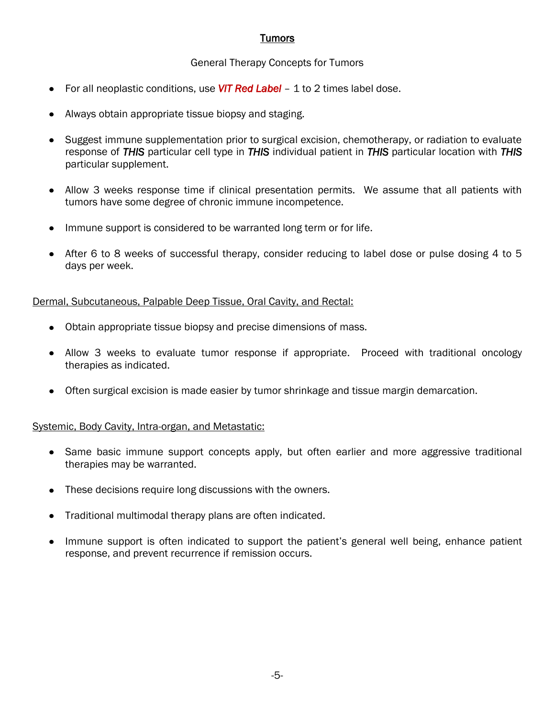# **Tumors**

#### General Therapy Concepts for Tumors

- For all neoplastic conditions, use *VIT Red Label*  1 to 2 times label dose.
- Always obtain appropriate tissue biopsy and staging.
- Suggest immune supplementation prior to surgical excision, chemotherapy, or radiation to evaluate response of *THIS* particular cell type in *THIS* individual patient in *THIS* particular location with *THIS* particular supplement.
- Allow 3 weeks response time if clinical presentation permits. We assume that all patients with  $\bullet$ tumors have some degree of chronic immune incompetence.
- Immune support is considered to be warranted long term or for life.  $\bullet$
- After 6 to 8 weeks of successful therapy, consider reducing to label dose or pulse dosing 4 to 5 days per week.

Dermal, Subcutaneous, Palpable Deep Tissue, Oral Cavity, and Rectal:

- Obtain appropriate tissue biopsy and precise dimensions of mass.
- Allow 3 weeks to evaluate tumor response if appropriate. Proceed with traditional oncology therapies as indicated.
- Often surgical excision is made easier by tumor shrinkage and tissue margin demarcation.  $\bullet$

#### Systemic, Body Cavity, Intra-organ, and Metastatic:

- $\bullet$ Same basic immune support concepts apply, but often earlier and more aggressive traditional therapies may be warranted.
- These decisions require long discussions with the owners.
- Traditional multimodal therapy plans are often indicated.
- Immune support is often indicated to support the patient's general well being, enhance patient  $\bullet$ response, and prevent recurrence if remission occurs.